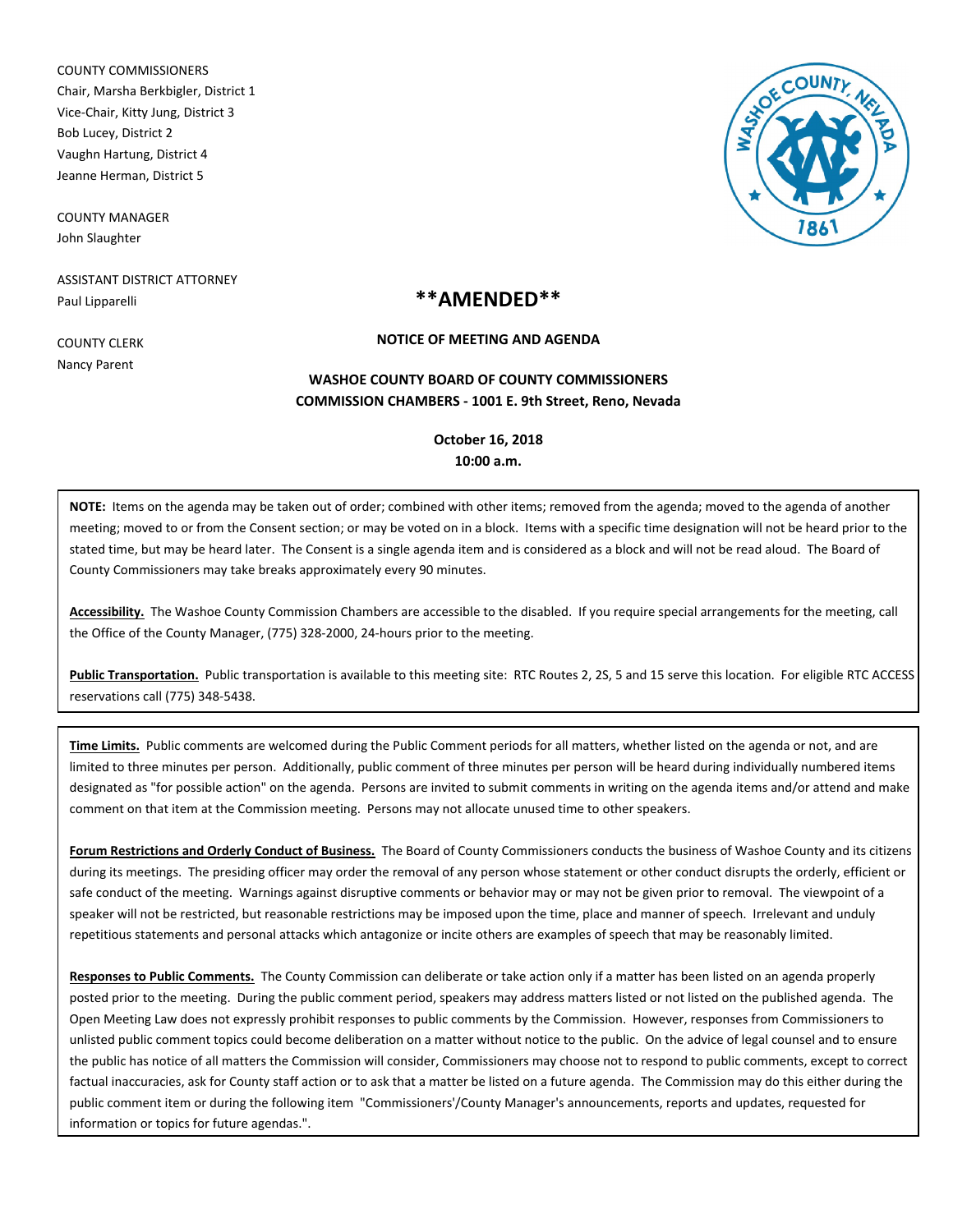COUNTY COMMISSIONERS Chair, Marsha Berkbigler, District 1 Vice-Chair, Kitty Jung, District 3 Bob Lucey, District 2 Vaughn Hartung, District 4 Jeanne Herman, District 5

COUNTY MANAGER John Slaughter

ASSISTANT DISTRICT ATTORNEY Paul Lipparelli



# **\*\*AMENDED\*\***

COUNTY CLERK Nancy Parent

### **NOTICE OF MEETING AND AGENDA**

## **COMMISSION CHAMBERS - 1001 E. 9th Street, Reno, Nevada WASHOE COUNTY BOARD OF COUNTY COMMISSIONERS**

## **October 16, 2018 10:00 a.m.**

**NOTE:** Items on the agenda may be taken out of order; combined with other items; removed from the agenda; moved to the agenda of another meeting; moved to or from the Consent section; or may be voted on in a block. Items with a specific time designation will not be heard prior to the stated time, but may be heard later. The Consent is a single agenda item and is considered as a block and will not be read aloud. The Board of County Commissioners may take breaks approximately every 90 minutes.

**Accessibility.** The Washoe County Commission Chambers are accessible to the disabled. If you require special arrangements for the meeting, call the Office of the County Manager, (775) 328-2000, 24-hours prior to the meeting.

**Public Transportation.** Public transportation is available to this meeting site: RTC Routes 2, 2S, 5 and 15 serve this location. For eligible RTC ACCESS reservations call (775) 348-5438.

**Time Limits.** Public comments are welcomed during the Public Comment periods for all matters, whether listed on the agenda or not, and are limited to three minutes per person. Additionally, public comment of three minutes per person will be heard during individually numbered items designated as "for possible action" on the agenda. Persons are invited to submit comments in writing on the agenda items and/or attend and make comment on that item at the Commission meeting. Persons may not allocate unused time to other speakers.

**Forum Restrictions and Orderly Conduct of Business.** The Board of County Commissioners conducts the business of Washoe County and its citizens during its meetings. The presiding officer may order the removal of any person whose statement or other conduct disrupts the orderly, efficient or safe conduct of the meeting. Warnings against disruptive comments or behavior may or may not be given prior to removal. The viewpoint of a speaker will not be restricted, but reasonable restrictions may be imposed upon the time, place and manner of speech. Irrelevant and unduly repetitious statements and personal attacks which antagonize or incite others are examples of speech that may be reasonably limited.

**Responses to Public Comments.** The County Commission can deliberate or take action only if a matter has been listed on an agenda properly posted prior to the meeting. During the public comment period, speakers may address matters listed or not listed on the published agenda. The Open Meeting Law does not expressly prohibit responses to public comments by the Commission. However, responses from Commissioners to unlisted public comment topics could become deliberation on a matter without notice to the public. On the advice of legal counsel and to ensure the public has notice of all matters the Commission will consider, Commissioners may choose not to respond to public comments, except to correct factual inaccuracies, ask for County staff action or to ask that a matter be listed on a future agenda. The Commission may do this either during the public comment item or during the following item "Commissioners'/County Manager's announcements, reports and updates, requested for information or topics for future agendas.".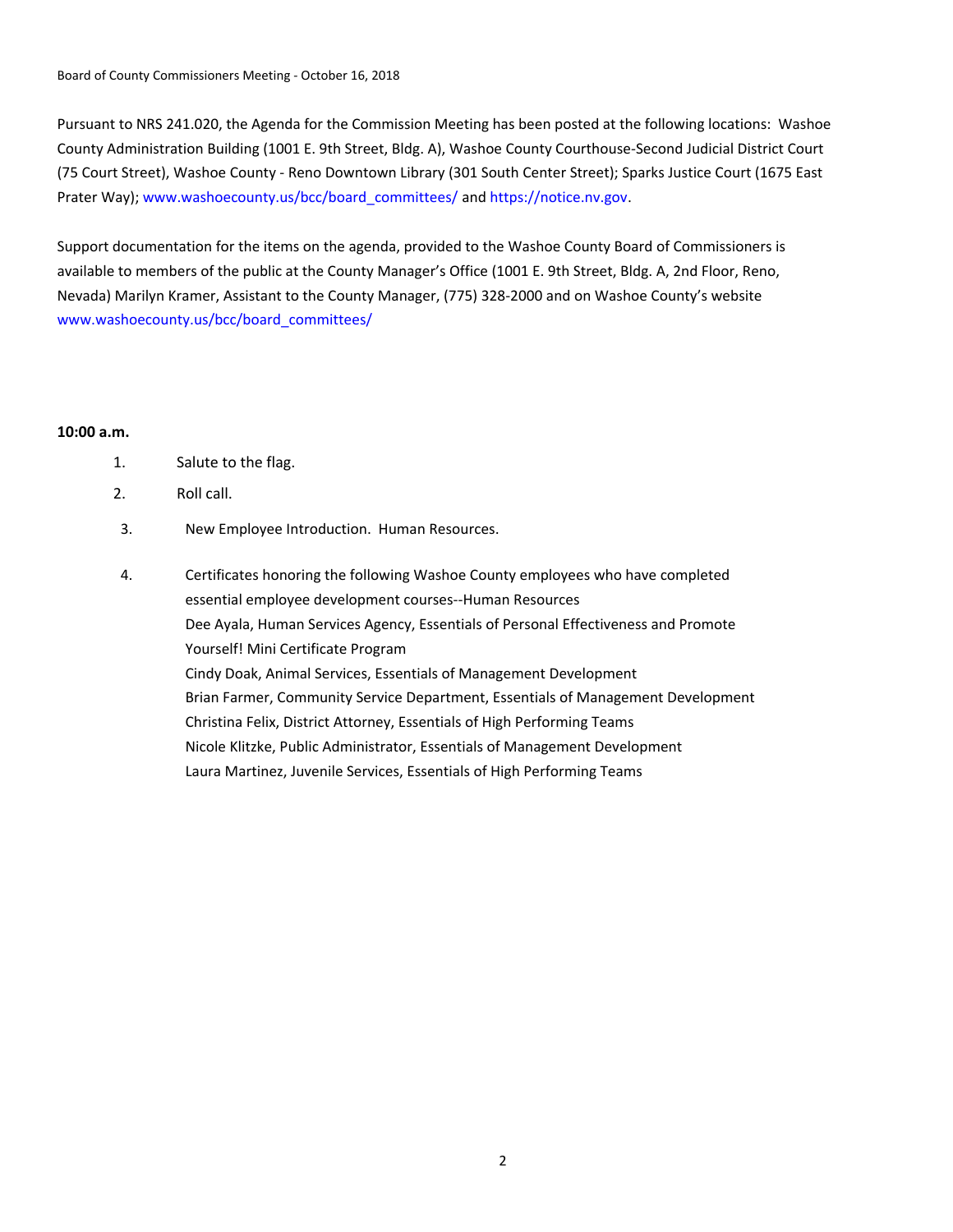Pursuant to NRS 241.020, the Agenda for the Commission Meeting has been posted at the following locations: Washoe County Administration Building (1001 E. 9th Street, Bldg. A), Washoe County Courthouse-Second Judicial District Court (75 Court Street), Washoe County - Reno Downtown Library (301 South Center Street); Sparks Justice Court (1675 East Prater Way); www.washoecounty.us/bcc/board\_committees/ and https://notice.nv.gov.

Support documentation for the items on the agenda, provided to the Washoe County Board of Commissioners is available to members of the public at the County Manager's Office (1001 E. 9th Street, Bldg. A, 2nd Floor, Reno, Nevada) Marilyn Kramer, Assistant to the County Manager, (775) 328-2000 and on Washoe County's website www.washoecounty.us/bcc/board\_committees/

## **10:00 a.m.**

| Salute to the flag. |
|---------------------|
|---------------------|

- 2. Roll call.
- 3. New Employee Introduction. Human Resources.
- Certificates honoring the following Washoe County employees who have completed essential employee development courses--Human Resources Dee Ayala, Human Services Agency, Essentials of Personal Effectiveness and Promote Yourself! Mini Certificate Program Cindy Doak, Animal Services, Essentials of Management Development Brian Farmer, Community Service Department, Essentials of Management Development Christina Felix, District Attorney, Essentials of High Performing Teams Nicole Klitzke, Public Administrator, Essentials of Management Development Laura Martinez, Juvenile Services, Essentials of High Performing Teams 4.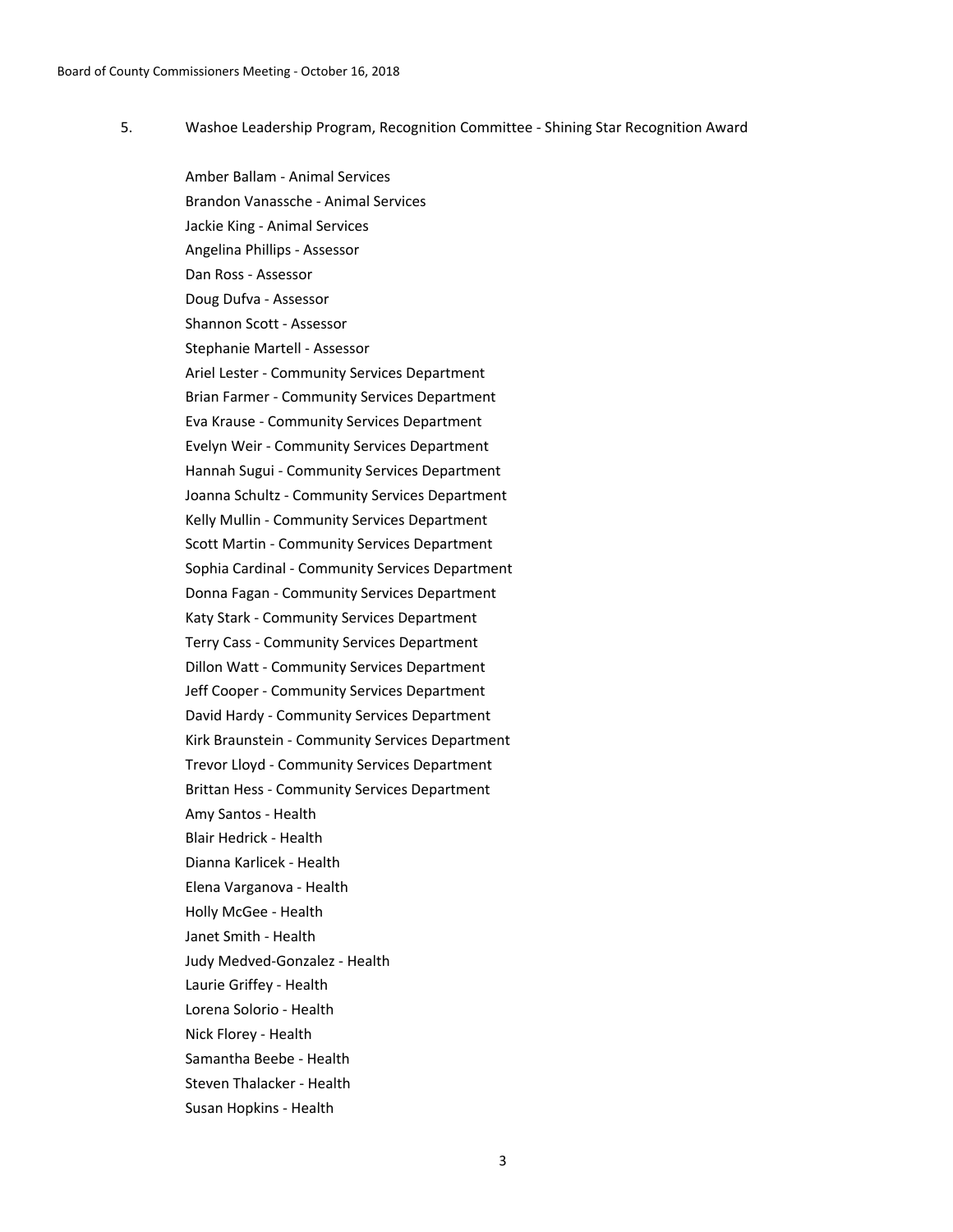Washoe Leadership Program, Recognition Committee - Shining Star Recognition Award 5.

> Amber Ballam - Animal Services Brandon Vanassche - Animal Services Jackie King - Animal Services Angelina Phillips - Assessor Dan Ross - Assessor Doug Dufva - Assessor Shannon Scott - Assessor Stephanie Martell - Assessor Ariel Lester - Community Services Department Brian Farmer - Community Services Department Eva Krause - Community Services Department Evelyn Weir - Community Services Department Hannah Sugui - Community Services Department Joanna Schultz - Community Services Department Kelly Mullin - Community Services Department Scott Martin - Community Services Department Sophia Cardinal - Community Services Department Donna Fagan - Community Services Department Katy Stark - Community Services Department Terry Cass - Community Services Department Dillon Watt - Community Services Department Jeff Cooper - Community Services Department David Hardy - Community Services Department Kirk Braunstein - Community Services Department Trevor Lloyd - Community Services Department Brittan Hess - Community Services Department Amy Santos - Health Blair Hedrick - Health Dianna Karlicek - Health Elena Varganova - Health Holly McGee - Health Janet Smith - Health Judy Medved-Gonzalez - Health Laurie Griffey - Health Lorena Solorio - Health Nick Florey - Health Samantha Beebe - Health Steven Thalacker - Health Susan Hopkins - Health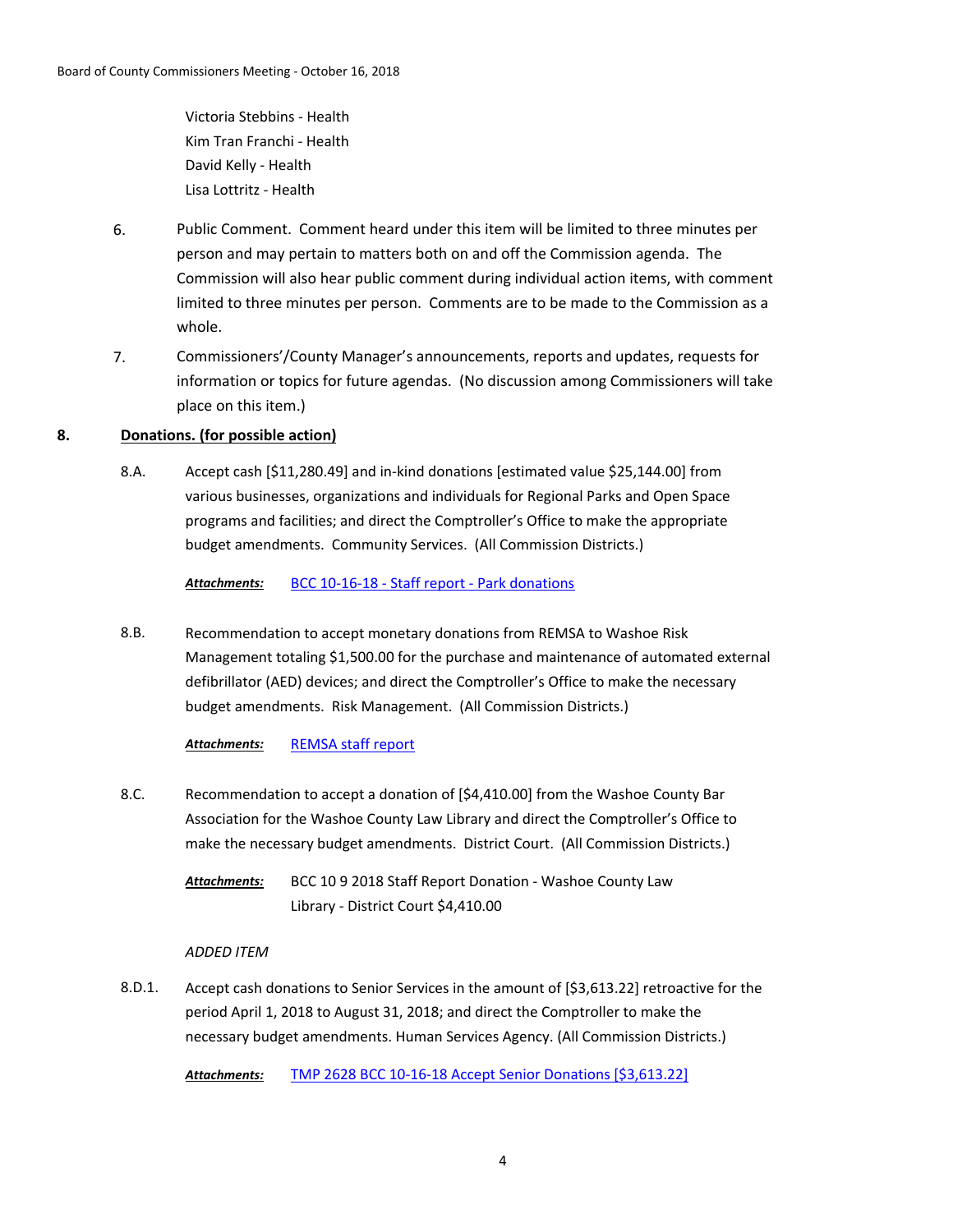Victoria Stebbins - Health Kim Tran Franchi - Health David Kelly - Health Lisa Lottritz - Health

- 6. Public Comment. Comment heard under this item will be limited to three minutes per person and may pertain to matters both on and off the Commission agenda. The Commission will also hear public comment during individual action items, with comment limited to three minutes per person. Comments are to be made to the Commission as a whole.
- 7. Commissioners'/County Manager's announcements, reports and updates, requests for information or topics for future agendas. (No discussion among Commissioners will take place on this item.)

## **8. Donations. (for possible action)**

Accept cash [\$11,280.49] and in-kind donations [estimated value \$25,144.00] from various businesses, organizations and individuals for Regional Parks and Open Space programs and facilities; and direct the Comptroller's Office to make the appropriate budget amendments. Community Services. (All Commission Districts.) 8.A.

*Attachments:* [BCC 10-16-18 - Staff report - Park donations](http://washoe-nv.legistar.com/gateway.aspx?M=F&ID=0c35624c-0048-4d5f-8c90-923741bf6d97.docx)

Recommendation to accept monetary donations from REMSA to Washoe Risk Management totaling \$1,500.00 for the purchase and maintenance of automated external defibrillator (AED) devices; and direct the Comptroller's Office to make the necessary budget amendments. Risk Management. (All Commission Districts.) 8.B.

#### *Attachments:* [REMSA staff report](http://washoe-nv.legistar.com/gateway.aspx?M=F&ID=3ee63119-4aba-4784-9ed6-2dc4fabce372.doc)

8.C. Recommendation to accept a donation of [\$4,410.00] from the Washoe County Bar Association for the Washoe County Law Library and direct the Comptroller's Office to make the necessary budget amendments. District Court. (All Commission Districts.)

> BCC 10 9 2018 Staff Report Donation - Washoe County Law Library - District Court \$4,410.00 *Attachments:*

#### *ADDED ITEM*

Accept cash donations to Senior Services in the amount of [\$3,613.22] retroactive for the period April 1, 2018 to August 31, 2018; and direct the Comptroller to make the necessary budget amendments. Human Services Agency. (All Commission Districts.) 8.D.1.

*Attachments:* [TMP 2628 BCC 10-16-18 Accept Senior Donations \[\\$3,613.22\]](http://washoe-nv.legistar.com/gateway.aspx?M=F&ID=19702ab6-e0c2-405d-ae86-22c452eedd7e.docx)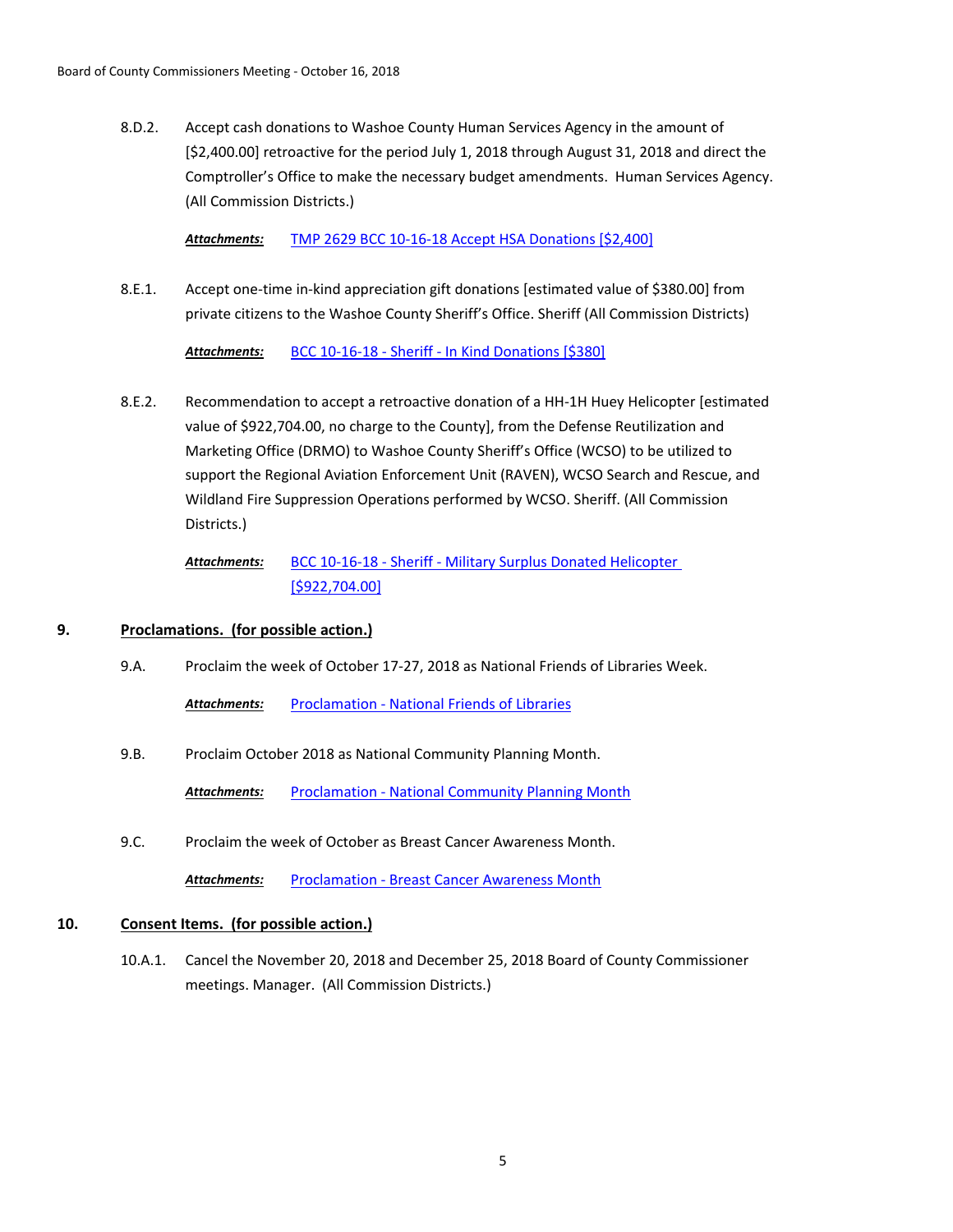Accept cash donations to Washoe County Human Services Agency in the amount of [\$2,400.00] retroactive for the period July 1, 2018 through August 31, 2018 and direct the Comptroller's Office to make the necessary budget amendments. Human Services Agency. (All Commission Districts.) 8.D.2.

*Attachments:* [TMP 2629 BCC 10-16-18 Accept HSA Donations \[\\$2,400\]](http://washoe-nv.legistar.com/gateway.aspx?M=F&ID=1cb7b677-9fe2-46ed-ae35-5b45865f9478.docx)

Accept one-time in-kind appreciation gift donations [estimated value of \$380.00] from private citizens to the Washoe County Sheriff's Office. Sheriff (All Commission Districts) 8.E.1.

*Attachments:* [BCC 10-16-18 - Sheriff - In Kind Donations \[\\$380\]](http://washoe-nv.legistar.com/gateway.aspx?M=F&ID=d92c79b9-6e1b-441e-b807-86a816b1a51c.doc)

Recommendation to accept a retroactive donation of a HH-1H Huey Helicopter [estimated value of \$922,704.00, no charge to the County], from the Defense Reutilization and Marketing Office (DRMO) to Washoe County Sheriff's Office (WCSO) to be utilized to support the Regional Aviation Enforcement Unit (RAVEN), WCSO Search and Rescue, and Wildland Fire Suppression Operations performed by WCSO. Sheriff. (All Commission Districts.) 8.E.2.

```
BCC 10-16-18 - Sheriff - Military Surplus Donated Helicopter 
                [$922,704.00]
Attachments:
```
## **9. Proclamations. (for possible action.)**

9.A. Proclaim the week of October 17-27, 2018 as National Friends of Libraries Week.

*Attachments:* [Proclamation - National Friends of Libraries](http://washoe-nv.legistar.com/gateway.aspx?M=F&ID=0a075b8a-ffb5-4e7b-9d0b-25d0967f0efb.pdf)

9.B. Proclaim October 2018 as National Community Planning Month.

*Attachments:* [Proclamation - National Community Planning Month](http://washoe-nv.legistar.com/gateway.aspx?M=F&ID=78dea51f-eed5-4169-a025-41ce860e2acb.pdf)

9.C. Proclaim the week of October as Breast Cancer Awareness Month.

Attachments: [Proclamation - Breast Cancer Awareness Month](http://washoe-nv.legistar.com/gateway.aspx?M=F&ID=8052c09a-e340-4fe6-bf96-03a9cad3ee71.pdf)

### **10. Consent Items. (for possible action.)**

Cancel the November 20, 2018 and December 25, 2018 Board of County Commissioner meetings. Manager. (All Commission Districts.) 10.A.1.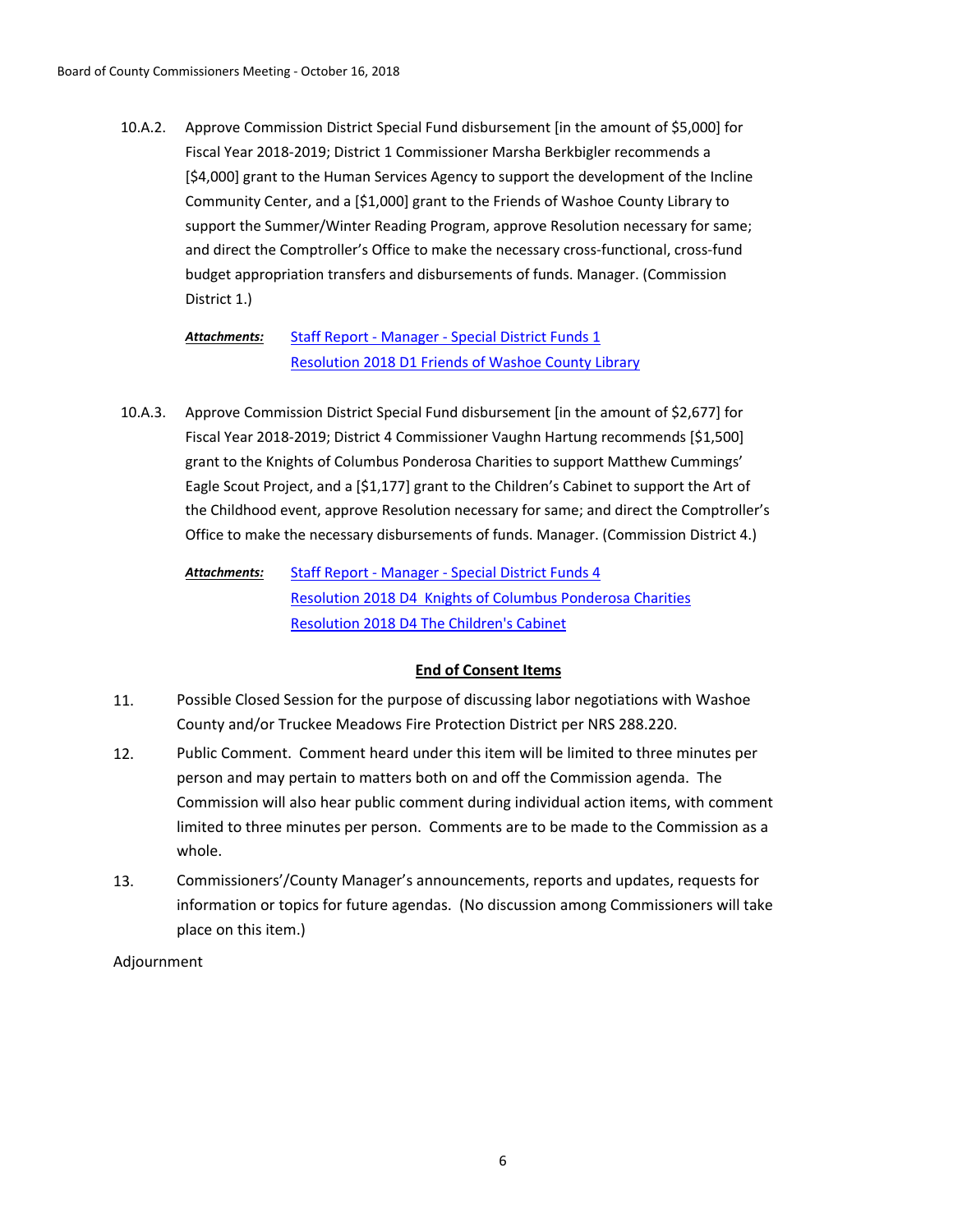Approve Commission District Special Fund disbursement [in the amount of \$5,000] for Fiscal Year 2018-2019; District 1 Commissioner Marsha Berkbigler recommends a [\$4,000] grant to the Human Services Agency to support the development of the Incline Community Center, and a [\$1,000] grant to the Friends of Washoe County Library to support the Summer/Winter Reading Program, approve Resolution necessary for same; and direct the Comptroller's Office to make the necessary cross-functional, cross-fund budget appropriation transfers and disbursements of funds. Manager. (Commission District 1.) 10.A.2.

> [Staff Report - Manager - Special District Funds 1](http://washoe-nv.legistar.com/gateway.aspx?M=F&ID=675b3115-5b1e-487a-9f27-ae77ee0b1b9a.doc) [Resolution 2018 D1 Friends of Washoe County Library](http://washoe-nv.legistar.com/gateway.aspx?M=F&ID=35c360b0-5f34-4098-992e-7d89af3eb38f.docx) *Attachments:*

Approve Commission District Special Fund disbursement [in the amount of \$2,677] for Fiscal Year 2018-2019; District 4 Commissioner Vaughn Hartung recommends [\$1,500] grant to the Knights of Columbus Ponderosa Charities to support Matthew Cummings' Eagle Scout Project, and a [\$1,177] grant to the Children's Cabinet to support the Art of the Childhood event, approve Resolution necessary for same; and direct the Comptroller's Office to make the necessary disbursements of funds. Manager. (Commission District 4.) 10.A.3.

```
Staff Report - Manager - Special District Funds 4
               Resolution 2018 D4 Knights of Columbus Ponderosa Charities
               Resolution 2018 D4 The Children's Cabinet
Attachments:
```
# **End of Consent Items**

- 11. Possible Closed Session for the purpose of discussing labor negotiations with Washoe County and/or Truckee Meadows Fire Protection District per NRS 288.220.
- 12. Public Comment. Comment heard under this item will be limited to three minutes per person and may pertain to matters both on and off the Commission agenda. The Commission will also hear public comment during individual action items, with comment limited to three minutes per person. Comments are to be made to the Commission as a whole.
- 13. Commissioners'/County Manager's announcements, reports and updates, requests for information or topics for future agendas. (No discussion among Commissioners will take place on this item.)

## Adjournment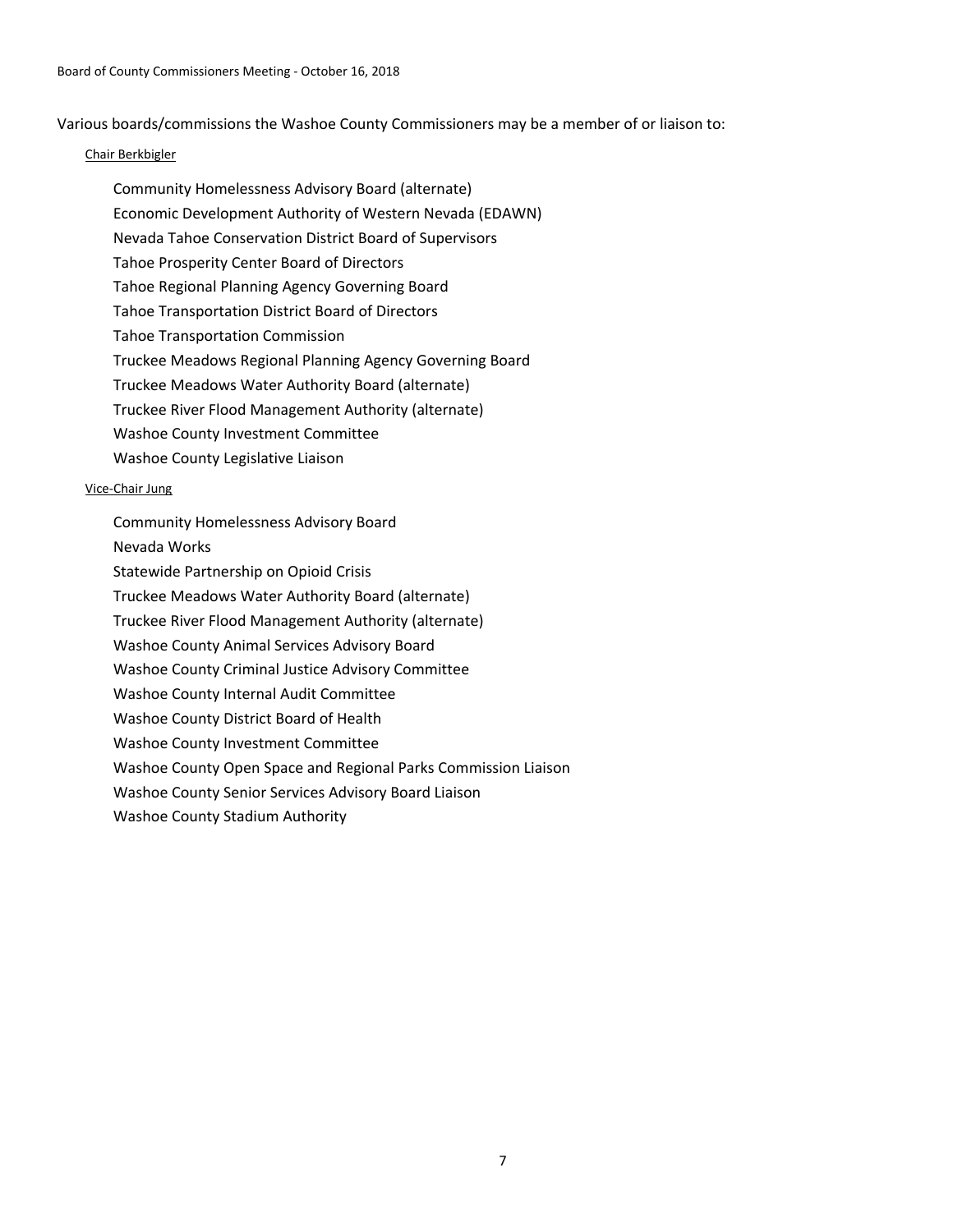Various boards/commissions the Washoe County Commissioners may be a member of or liaison to:

#### Chair Berkbigler

Community Homelessness Advisory Board (alternate) Economic Development Authority of Western Nevada (EDAWN) Nevada Tahoe Conservation District Board of Supervisors Tahoe Prosperity Center Board of Directors Tahoe Regional Planning Agency Governing Board Tahoe Transportation District Board of Directors Tahoe Transportation Commission Truckee Meadows Regional Planning Agency Governing Board Truckee Meadows Water Authority Board (alternate) Truckee River Flood Management Authority (alternate) Washoe County Investment Committee Washoe County Legislative Liaison

#### Vice-Chair Jung

Community Homelessness Advisory Board Nevada Works Statewide Partnership on Opioid Crisis Truckee Meadows Water Authority Board (alternate) Truckee River Flood Management Authority (alternate) Washoe County Animal Services Advisory Board Washoe County Criminal Justice Advisory Committee Washoe County Internal Audit Committee Washoe County District Board of Health Washoe County Investment Committee Washoe County Open Space and Regional Parks Commission Liaison

Washoe County Senior Services Advisory Board Liaison

Washoe County Stadium Authority